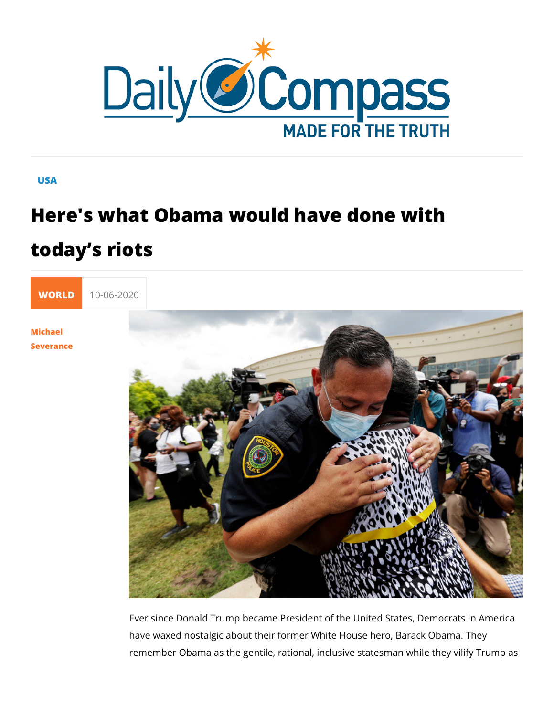## USA

## Here's what Obama would have done w today s riots



[Michae](/en/michael-severance)l [Severan](/en/michael-severance)ce

> Ever since Donald Trump became President of the United State have waxed nostalgic about their former White House hero, Ba remember Obama as the gentile, rational, inclusive statesman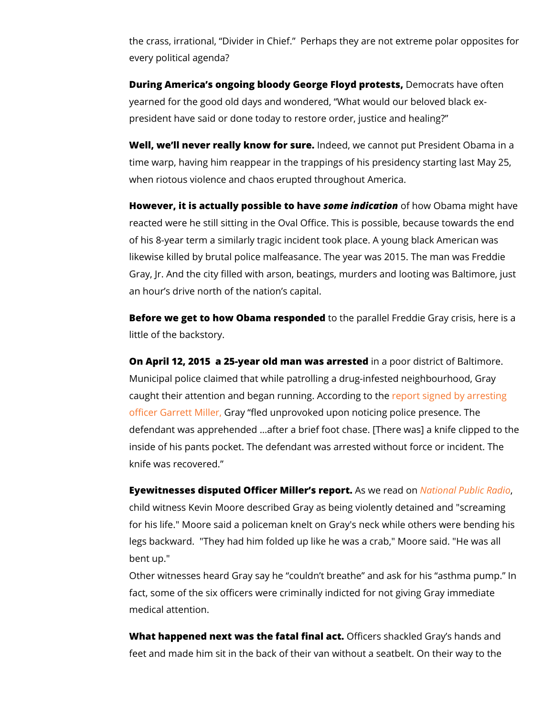the crass, irrational, Divider in Chief. Perhaps they are not every political agenda?

During America s ongoing bloody George Bleomy d cpaose has a often yearned for the good old days and wondered, What would our president have said or done today to restore order, justice and

Well, we II never really know nfoberesdy rowe cannot put President O time warp, having him reappear in the trappings of his preside when riotous violence and chaos erupted throughout America.

However, it is actually possi**b** be missindive ad folmow Obama might has reacted were he still sitting in the Oval Office. This is possibl of his 8-year term a similarly tragic incident took place. A you likewise killed by brutal police malfeasance. The year was 201 Gray, Jr. And the city filled with arson, beatings, murders and an hour s drive north of the nation s capital.

Before we get to how Obama recospibe dpeadrallel Freddie Gray cris little of the backstory.

On April 12, 2015 a 25-year old maninwaaspoaorredsitsetotict of Baltim Municipal police claimed that while patrolling a drug-infested caught their attention and began running poArd csoirgdring boy tahreresti [officer Garret](https://www.documentcloud.org/documents/2071377-gray-charging-documents.html)t GM alyerfled unprovoked upon noticing police pres defendant was apprehended &after a brief foot chase. [There v inside of his pants pocket. The defendant was arrested withou knife was recovered.

Eyewitnesses disputed Officer Mil**Aesr wsere parda on nal Public Rad** child witness Kevin Moore described Gray as being violently d for his life." Moore said a policeman knelt on Gray's neck whil legs backward. "They had him folded up like he was a crab," I bent up."

Other witnesses heard Gray say he couldn t breathe and ask fact, some of the six officers were criminally indicted for not medical attention.

What happened next was the fata Offfinceners and ackled Gray shand feet and made him sit in the back of their van without a seatbe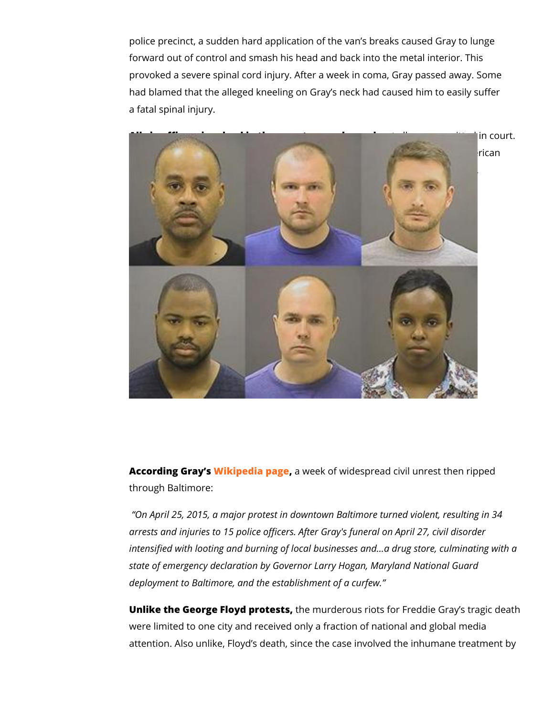police precinct, a sudden hard application of the van s breaks forward out of control and smash his head and back into the m provoked a severe spinal cord injury. After a week in coma, Gray had blamed that the alleged kneeling on Gray s neck had caus a fatal spinal injury.

All six officers involved in the arrest weetreal the age da, cquitted in Curiously three of the six officials indicted were black, includ woman: Caesar Goodson Jr., William Porter, and Alicia White (

According Gr<mark>&</mark>ykspedia paageweek of widespread civil unrest the through Baltimore:

On April 25, 2015, a major protest in downtown Baltimore tur arrests and injuries to 15 police officers. After Gray's funeral intensified with looting and burning of local businesses and&a state of emergency declaration by Governor Larry Hogan, Mary deployment to Baltimore, and the establishment of a curfew.

Unlike the George Floyd phrotensuirsderous riots for Freddie Gray were limited to one city and received only a fraction of nation attention. Also unlike, Floyd s death, since the case involved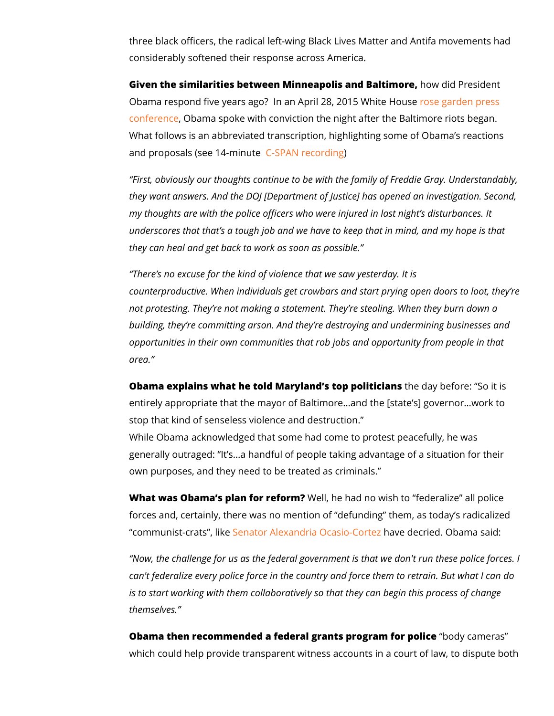three black officers, the radical left-wing Black Lives Matter a considerably softened their response across America.

Given the similarities between Minneapolis hand Baltherm estedent Obama respond five years ago? In an April 02:38, 2011 o5e Whitees Ho [confere](https://obamawhitehouse.archives.gov/the-press-office/2015/04/28/remarks-president-obama-and-prime-minister-abe-japan-joint-press-confere)n Cebama spoke with conviction the night after the Balti What follows is an abbreviated transcription, highlighting som and proposals (see 14-mPnAuN erec)ording

First, obviously our thoughts continue to be with the family of they want answers. And the DOJ [Department of Justice] has o my thoughts are with the police officers who were injured in la underscores that that s a tough job and we have to keep that i they can heal and get back to work as soon as possible.

There s no excuse for the kind of violence that we saw yester counterproductive. When individuals get crowbars and start pr not protesting. They re not making a statement. They re steali building, they re committing arson. And they re destroying and opportunities in their own communities that rob jobs and oppor area.

Obama explains what he told Maryland s those phay it is folled it is entirely appropriate that the mayor of Baltimore & and the [state stop that kind of senseless violence and destruction. While Obama acknowledged that some had come to protest pea generally outraged: It s&a handful of people taking advantage own purposes, and they need to be treated as criminals.

What was Obama s plan for Wheelflorme? had no wish to federalize forces and, certainly, there was no mention of defunding the communist-cratSsenatios Alexandria Ocahsaive Cobercheized. Obama sai

Now, the challenge for us as the federal government is that w can't federalize every police force in the country and force the is to start working with them collaboratively so that they can b themselves.

Obama then recommended a federal grant or portion or portion cameras which could help provide transparent witness accounts in a co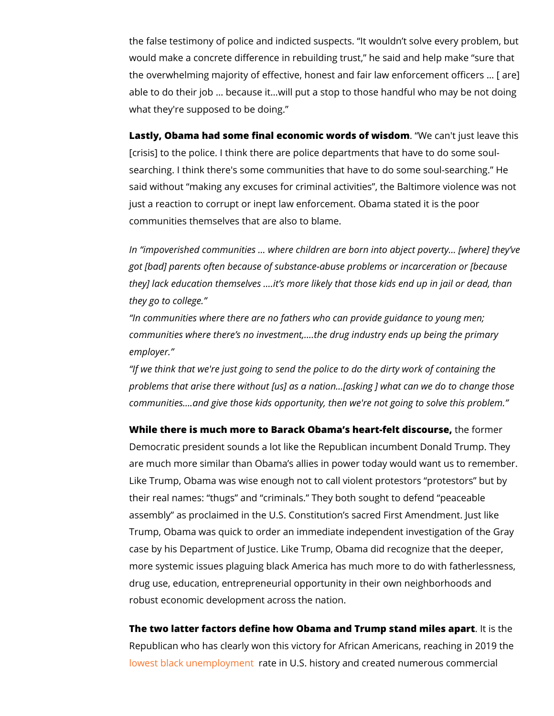the false testimony of police and indicted suspects. It wouldn would make a concrete difference in rebuilding trust, he said the overwhelming majority of effective, honest and fair law enforcement able to do their job & because it&will put a stop to those hand what they're supposed to be doing.

Lastly, Obama had some final economic word\seodawnisdomt leave [crisis] to the police. I think there are police departments that searching. I think there's some communities that have to do so said without making any excuses for criminal activities, the I just a reaction to corrupt or inept law enforcement. Obama sta communities themselves that are also to blame.

In impoverished communities & where children are born into a got [bad] parents often because of substance-abuse problems they] lack education themselves & it s more likely that those k they go to college.

In communities where there are no fathers who can provide guidance to young men; communities where there s no investment, & the drug industry  $\epsilon$ employer.

If we think that we're just going to send the police to do the problems that arise there without [us] as a nation&[asking ] wl communities & and give those kids opportunity, then we're not

While there is much more to Barack Obama s heathtefelt diescould Democratic president sounds a lot like the Republican incumbe are much more similar than Obama s allies in power today wou Like Trump, Obama was wise enough not to call violent protest their real names: thugs and criminals. They both sought to assembly as proclaimed in the U.S. Constitution s sacred First Trump, Obama was quick to order an immediate independent in case by his Department of Justice. Like Trump, Obama did rec more systemic issues plaguing black America has much more to drug use, education, entrepreneurial opportunity in their own i robust economic development across the nation.

The two latter factors define how Obama and Trump. stainsdthmele Republican who has clearly won this victory for African Americ [lowest black unem](https://www.foxnews.com/transcript/president-trump-touts-historically-low-level-of-african-american-unemployment)ploymeeint U.S. history and created numerous